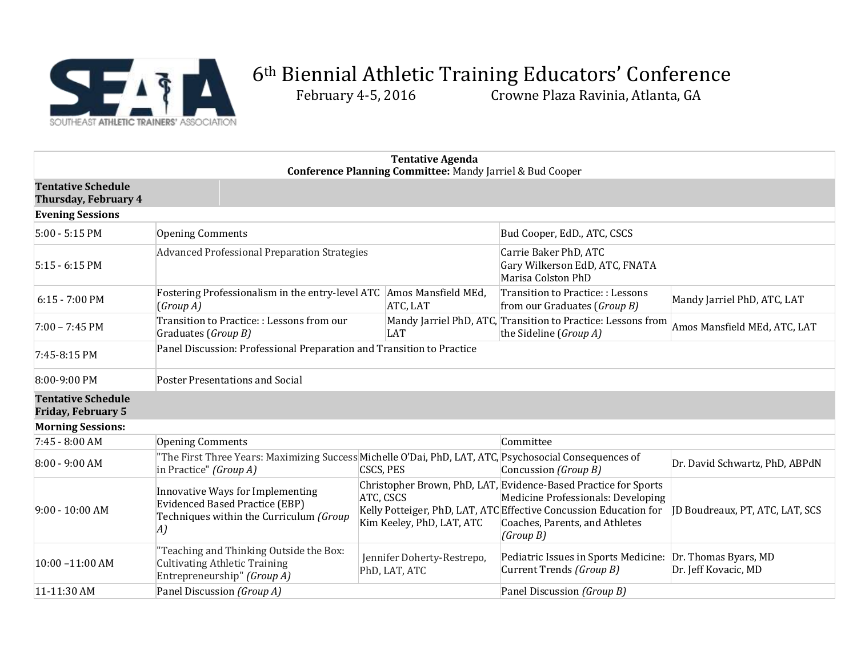

## 6<sup>th</sup> Biennial Athletic Training Educators' Conference<br>February 4-5, 2016 Crowne Plaza Ravinia, Atlanta, GA

Crowne Plaza Ravinia, Atlanta, GA

| <b>Tentative Agenda</b><br>Conference Planning Committee: Mandy Jarriel & Bud Cooper |                                                                                                                                  |                                             |                                                                                                                                                                                                                           |                                              |  |  |  |
|--------------------------------------------------------------------------------------|----------------------------------------------------------------------------------------------------------------------------------|---------------------------------------------|---------------------------------------------------------------------------------------------------------------------------------------------------------------------------------------------------------------------------|----------------------------------------------|--|--|--|
| <b>Tentative Schedule</b><br>Thursday, February 4                                    |                                                                                                                                  |                                             |                                                                                                                                                                                                                           |                                              |  |  |  |
| <b>Evening Sessions</b>                                                              |                                                                                                                                  |                                             |                                                                                                                                                                                                                           |                                              |  |  |  |
| 5:00 - 5:15 PM                                                                       | <b>Opening Comments</b>                                                                                                          |                                             | Bud Cooper, EdD., ATC, CSCS                                                                                                                                                                                               |                                              |  |  |  |
| $5:15 - 6:15$ PM                                                                     | Advanced Professional Preparation Strategies                                                                                     |                                             | Carrie Baker PhD, ATC<br>Gary Wilkerson EdD, ATC, FNATA<br>Marisa Colston PhD                                                                                                                                             |                                              |  |  |  |
| $6:15 - 7:00$ PM                                                                     | Fostering Professionalism in the entry-level ATC Amos Mansfield MEd,<br>(Group A)                                                | ATC, LAT                                    | Transition to Practice:: Lessons<br>from our Graduates (Group B)                                                                                                                                                          | Mandy Jarriel PhD, ATC, LAT                  |  |  |  |
| 7:00 - 7:45 PM                                                                       | Transition to Practice: : Lessons from our<br>Graduates (Group B)                                                                | <b>LAT</b>                                  | Mandy Jarriel PhD, ATC, Transition to Practice: Lessons from<br>the Sideline (Group A)                                                                                                                                    | Amos Mansfield MEd, ATC, LAT                 |  |  |  |
| 7:45-8:15 PM                                                                         | Panel Discussion: Professional Preparation and Transition to Practice                                                            |                                             |                                                                                                                                                                                                                           |                                              |  |  |  |
| 8:00-9:00 PM                                                                         | Poster Presentations and Social                                                                                                  |                                             |                                                                                                                                                                                                                           |                                              |  |  |  |
| <b>Tentative Schedule</b><br><b>Friday, February 5</b>                               |                                                                                                                                  |                                             |                                                                                                                                                                                                                           |                                              |  |  |  |
| <b>Morning Sessions:</b>                                                             |                                                                                                                                  |                                             |                                                                                                                                                                                                                           |                                              |  |  |  |
| 7:45 - 8:00 AM                                                                       | <b>Opening Comments</b>                                                                                                          |                                             | Committee                                                                                                                                                                                                                 |                                              |  |  |  |
| 8:00 - 9:00 AM                                                                       | The First Three Years: Maximizing Success Michelle O'Dai, PhD, LAT, ATC, Psychosocial Consequences of"<br>in Practice" (Group A) | CSCS, PES                                   | Concussion (Group B)                                                                                                                                                                                                      | Dr. David Schwartz, PhD, ABPdN               |  |  |  |
| 9:00 - 10:00 AM                                                                      | Innovative Ways for Implementing<br><b>Evidenced Based Practice (EBP)</b><br>Techniques within the Curriculum (Group<br> A)      | ATC, CSCS<br>Kim Keeley, PhD, LAT, ATC      | Christopher Brown, PhD, LAT, Evidence-Based Practice for Sports<br>Medicine Professionals: Developing<br>Kelly Potteiger, PhD, LAT, ATC Effective Concussion Education for<br>Coaches, Parents, and Athletes<br>(Group B) | JD Boudreaux, PT, ATC, LAT, SCS              |  |  |  |
| 10:00 -11:00 AM                                                                      | "Teaching and Thinking Outside the Box:<br><b>Cultivating Athletic Training</b><br>Entrepreneurship" (Group A)                   | Jennifer Doherty-Restrepo,<br>PhD, LAT, ATC | Pediatric Issues in Sports Medicine:<br>Current Trends (Group B)                                                                                                                                                          | Dr. Thomas Byars, MD<br>Dr. Jeff Kovacic, MD |  |  |  |
| 11-11:30 AM                                                                          | Panel Discussion (Group A)                                                                                                       |                                             | Panel Discussion (Group B)                                                                                                                                                                                                |                                              |  |  |  |